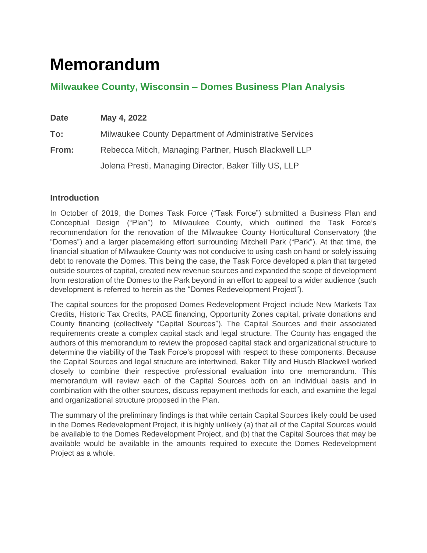# **Memorandum**

## **Milwaukee County, Wisconsin – Domes Business Plan Analysis**

| <b>Date</b> | May 4, 2022                                            |  |  |  |  |
|-------------|--------------------------------------------------------|--|--|--|--|
| To:         | Milwaukee County Department of Administrative Services |  |  |  |  |
| From:       | Rebecca Mitich, Managing Partner, Husch Blackwell LLP  |  |  |  |  |
|             | Jolena Presti, Managing Director, Baker Tilly US, LLP  |  |  |  |  |

### **Introduction**

In October of 2019, the Domes Task Force ("Task Force") submitted a Business Plan and Conceptual Design ("Plan") to Milwaukee County, which outlined the Task Force's recommendation for the renovation of the Milwaukee County Horticultural Conservatory (the "Domes") and a larger placemaking effort surrounding Mitchell Park ("Park"). At that time, the financial situation of Milwaukee County was not conducive to using cash on hand or solely issuing debt to renovate the Domes. This being the case, the Task Force developed a plan that targeted outside sources of capital, created new revenue sources and expanded the scope of development from restoration of the Domes to the Park beyond in an effort to appeal to a wider audience (such development is referred to herein as the "Domes Redevelopment Project").

The capital sources for the proposed Domes Redevelopment Project include New Markets Tax Credits, Historic Tax Credits, PACE financing, Opportunity Zones capital, private donations and County financing (collectively "Capital Sources"). The Capital Sources and their associated requirements create a complex capital stack and legal structure. The County has engaged the authors of this memorandum to review the proposed capital stack and organizational structure to determine the viability of the Task Force's proposal with respect to these components. Because the Capital Sources and legal structure are intertwined, Baker Tilly and Husch Blackwell worked closely to combine their respective professional evaluation into one memorandum. This memorandum will review each of the Capital Sources both on an individual basis and in combination with the other sources, discuss repayment methods for each, and examine the legal and organizational structure proposed in the Plan.

The summary of the preliminary findings is that while certain Capital Sources likely could be used in the Domes Redevelopment Project, it is highly unlikely (a) that all of the Capital Sources would be available to the Domes Redevelopment Project, and (b) that the Capital Sources that may be available would be available in the amounts required to execute the Domes Redevelopment Project as a whole.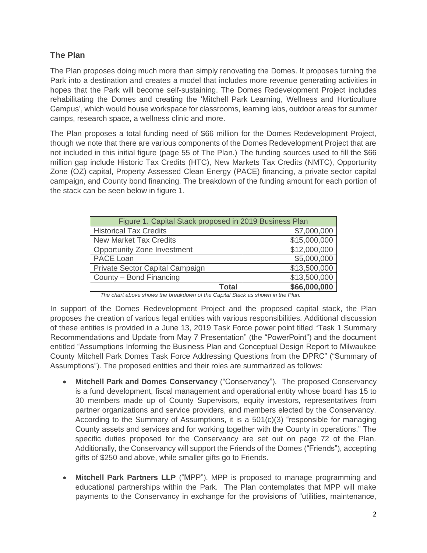## **The Plan**

The Plan proposes doing much more than simply renovating the Domes. It proposes turning the Park into a destination and creates a model that includes more revenue generating activities in hopes that the Park will become self-sustaining. The Domes Redevelopment Project includes rehabilitating the Domes and creating the 'Mitchell Park Learning, Wellness and Horticulture Campus', which would house workspace for classrooms, learning labs, outdoor areas for summer camps, research space, a wellness clinic and more.

The Plan proposes a total funding need of \$66 million for the Domes Redevelopment Project, though we note that there are various components of the Domes Redevelopment Project that are not included in this initial figure (page 55 of The Plan.) The funding sources used to fill the \$66 million gap include Historic Tax Credits (HTC), New Markets Tax Credits (NMTC), Opportunity Zone (OZ) capital, Property Assessed Clean Energy (PACE) financing, a private sector capital campaign, and County bond financing. The breakdown of the funding amount for each portion of the stack can be seen below in figure 1.

| Figure 1. Capital Stack proposed in 2019 Business Plan |              |  |  |  |  |  |
|--------------------------------------------------------|--------------|--|--|--|--|--|
| <b>Historical Tax Credits</b>                          | \$7,000,000  |  |  |  |  |  |
| <b>New Market Tax Credits</b>                          | \$15,000,000 |  |  |  |  |  |
| <b>Opportunity Zone Investment</b>                     | \$12,000,000 |  |  |  |  |  |
| PACE Loan                                              | \$5,000,000  |  |  |  |  |  |
| Private Sector Capital Campaign                        | \$13,500,000 |  |  |  |  |  |
| County - Bond Financing                                | \$13,500,000 |  |  |  |  |  |
| <b>Total</b>                                           | \$66,000,000 |  |  |  |  |  |

*The chart above shows the breakdown of the Capital Stack as shown in the Plan.*

In support of the Domes Redevelopment Project and the proposed capital stack, the Plan proposes the creation of various legal entities with various responsibilities. Additional discussion of these entities is provided in a June 13, 2019 Task Force power point titled "Task 1 Summary Recommendations and Update from May 7 Presentation" (the "PowerPoint") and the document entitled "Assumptions Informing the Business Plan and Conceptual Design Report to Milwaukee County Mitchell Park Domes Task Force Addressing Questions from the DPRC" ("Summary of Assumptions"). The proposed entities and their roles are summarized as follows:

- **Mitchell Park and Domes Conservancy** ("Conservancy"). The proposed Conservancy is a fund development, fiscal management and operational entity whose board has 15 to 30 members made up of County Supervisors, equity investors, representatives from partner organizations and service providers, and members elected by the Conservancy. According to the Summary of Assumptions, it is a  $501(c)(3)$  "responsible for managing County assets and services and for working together with the County in operations." The specific duties proposed for the Conservancy are set out on page 72 of the Plan. Additionally, the Conservancy will support the Friends of the Domes ("Friends"), accepting gifts of \$250 and above, while smaller gifts go to Friends.
- **Mitchell Park Partners LLP** ("MPP"). MPP is proposed to manage programming and educational partnerships within the Park. The Plan contemplates that MPP will make payments to the Conservancy in exchange for the provisions of "utilities, maintenance,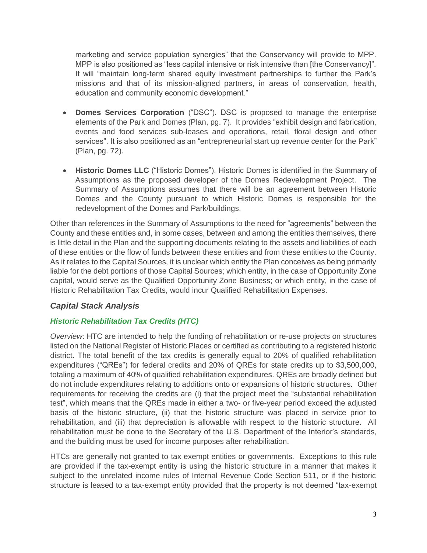marketing and service population synergies" that the Conservancy will provide to MPP. MPP is also positioned as "less capital intensive or risk intensive than [the Conservancy]". It will "maintain long-term shared equity investment partnerships to further the Park's missions and that of its mission-aligned partners, in areas of conservation, health, education and community economic development."

- **Domes Services Corporation** ("DSC"). DSC is proposed to manage the enterprise elements of the Park and Domes (Plan, pg. 7). It provides "exhibit design and fabrication, events and food services sub-leases and operations, retail, floral design and other services". It is also positioned as an "entrepreneurial start up revenue center for the Park" (Plan, pg. 72).
- **Historic Domes LLC** ("Historic Domes"). Historic Domes is identified in the Summary of Assumptions as the proposed developer of the Domes Redevelopment Project. The Summary of Assumptions assumes that there will be an agreement between Historic Domes and the County pursuant to which Historic Domes is responsible for the redevelopment of the Domes and Park/buildings.

Other than references in the Summary of Assumptions to the need for "agreements" between the County and these entities and, in some cases, between and among the entities themselves, there is little detail in the Plan and the supporting documents relating to the assets and liabilities of each of these entities or the flow of funds between these entities and from these entities to the County. As it relates to the Capital Sources, it is unclear which entity the Plan conceives as being primarily liable for the debt portions of those Capital Sources; which entity, in the case of Opportunity Zone capital, would serve as the Qualified Opportunity Zone Business; or which entity, in the case of Historic Rehabilitation Tax Credits, would incur Qualified Rehabilitation Expenses.

### *Capital Stack Analysis*

### *Historic Rehabilitation Tax Credits (HTC)*

*Overview*: HTC are intended to help the funding of rehabilitation or re-use projects on structures listed on the National Register of Historic Places or certified as contributing to a registered historic district. The total benefit of the tax credits is generally equal to 20% of qualified rehabilitation expenditures ("QREs") for federal credits and 20% of QREs for state credits up to \$3,500,000, totaling a maximum of 40% of qualified rehabilitation expenditures. QREs are broadly defined but do not include expenditures relating to additions onto or expansions of historic structures. Other requirements for receiving the credits are (i) that the project meet the "substantial rehabilitation test", which means that the QREs made in either a two- or five-year period exceed the adjusted basis of the historic structure, (ii) that the historic structure was placed in service prior to rehabilitation, and (iii) that depreciation is allowable with respect to the historic structure. All rehabilitation must be done to the Secretary of the U.S. Department of the Interior's standards, and the building must be used for income purposes after rehabilitation.

HTCs are generally not granted to tax exempt entities or governments. Exceptions to this rule are provided if the tax-exempt entity is using the historic structure in a manner that makes it subject to the unrelated income rules of Internal Revenue Code Section 511, or if the historic structure is leased to a tax-exempt entity provided that the property is not deemed "tax-exempt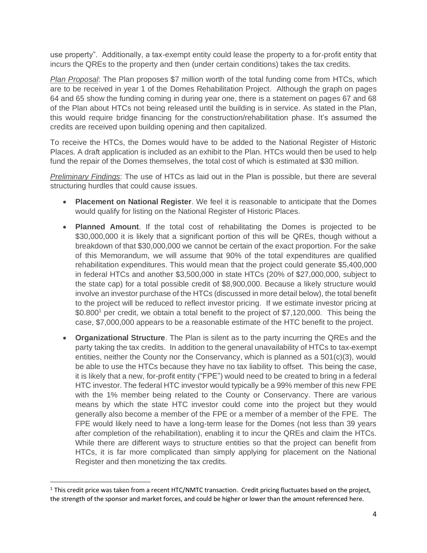use property". Additionally, a tax-exempt entity could lease the property to a for-profit entity that incurs the QREs to the property and then (under certain conditions) takes the tax credits.

*Plan Proposal*: The Plan proposes \$7 million worth of the total funding come from HTCs, which are to be received in year 1 of the Domes Rehabilitation Project. Although the graph on pages 64 and 65 show the funding coming in during year one, there is a statement on pages 67 and 68 of the Plan about HTCs not being released until the building is in service. As stated in the Plan, this would require bridge financing for the construction/rehabilitation phase. It's assumed the credits are received upon building opening and then capitalized.

To receive the HTCs, the Domes would have to be added to the National Register of Historic Places. A draft application is included as an exhibit to the Plan. HTCs would then be used to help fund the repair of the Domes themselves, the total cost of which is estimated at \$30 million.

*Preliminary Findings*: The use of HTCs as laid out in the Plan is possible, but there are several structuring hurdles that could cause issues.

- **Placement on National Register**. We feel it is reasonable to anticipate that the Domes would qualify for listing on the National Register of Historic Places.
- **Planned Amount**. If the total cost of rehabilitating the Domes is projected to be \$30,000,000 it is likely that a significant portion of this will be QREs, though without a breakdown of that \$30,000,000 we cannot be certain of the exact proportion. For the sake of this Memorandum, we will assume that 90% of the total expenditures are qualified rehabilitation expenditures. This would mean that the project could generate \$5,400,000 in federal HTCs and another \$3,500,000 in state HTCs (20% of \$27,000,000, subject to the state cap) for a total possible credit of \$8,900,000. Because a likely structure would involve an investor purchase of the HTCs (discussed in more detail below), the total benefit to the project will be reduced to reflect investor pricing. If we estimate investor pricing at  $$0.800<sup>1</sup>$  per credit, we obtain a total benefit to the project of \$7,120,000. This being the case, \$7,000,000 appears to be a reasonable estimate of the HTC benefit to the project.
- **Organizational Structure**. The Plan is silent as to the party incurring the QREs and the party taking the tax credits. In addition to the general unavailability of HTCs to tax-exempt entities, neither the County nor the Conservancy, which is planned as a 501(c)(3), would be able to use the HTCs because they have no tax liability to offset. This being the case, it is likely that a new, for-profit entity ("FPE") would need to be created to bring in a federal HTC investor. The federal HTC investor would typically be a 99% member of this new FPE with the 1% member being related to the County or Conservancy. There are various means by which the state HTC investor could come into the project but they would generally also become a member of the FPE or a member of a member of the FPE. The FPE would likely need to have a long-term lease for the Domes (not less than 39 years after completion of the rehabilitation), enabling it to incur the QREs and claim the HTCs. While there are different ways to structure entities so that the project can benefit from HTCs, it is far more complicated than simply applying for placement on the National Register and then monetizing the tax credits.

 $1$  This credit price was taken from a recent HTC/NMTC transaction. Credit pricing fluctuates based on the project, the strength of the sponsor and market forces, and could be higher or lower than the amount referenced here.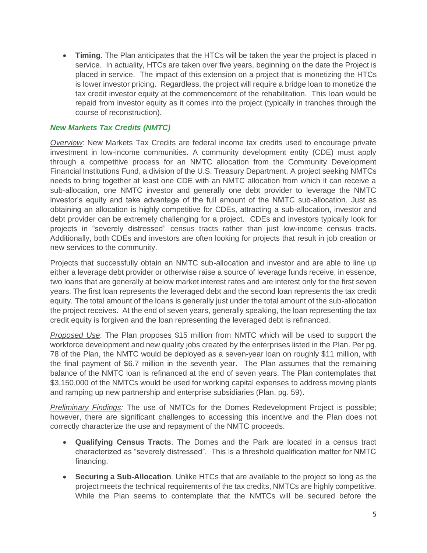• **Timing**. The Plan anticipates that the HTCs will be taken the year the project is placed in service. In actuality, HTCs are taken over five years, beginning on the date the Project is placed in service. The impact of this extension on a project that is monetizing the HTCs is lower investor pricing. Regardless, the project will require a bridge loan to monetize the tax credit investor equity at the commencement of the rehabilitation. This loan would be repaid from investor equity as it comes into the project (typically in tranches through the course of reconstruction).

#### *New Markets Tax Credits (NMTC)*

*Overview*: New Markets Tax Credits are federal income tax credits used to encourage private investment in low-income communities. A community development entity (CDE) must apply through a competitive process for an NMTC allocation from the Community Development Financial Institutions Fund, a division of the U.S. Treasury Department. A project seeking NMTCs needs to bring together at least one CDE with an NMTC allocation from which it can receive a sub-allocation, one NMTC investor and generally one debt provider to leverage the NMTC investor's equity and take advantage of the full amount of the NMTC sub-allocation. Just as obtaining an allocation is highly competitive for CDEs, attracting a sub-allocation, investor and debt provider can be extremely challenging for a project. CDEs and investors typically look for projects in "severely distressed" census tracts rather than just low-income census tracts. Additionally, both CDEs and investors are often looking for projects that result in job creation or new services to the community.

Projects that successfully obtain an NMTC sub-allocation and investor and are able to line up either a leverage debt provider or otherwise raise a source of leverage funds receive, in essence, two loans that are generally at below market interest rates and are interest only for the first seven years. The first loan represents the leveraged debt and the second loan represents the tax credit equity. The total amount of the loans is generally just under the total amount of the sub-allocation the project receives. At the end of seven years, generally speaking, the loan representing the tax credit equity is forgiven and the loan representing the leveraged debt is refinanced.

*Proposed Use*: The Plan proposes \$15 million from NMTC which will be used to support the workforce development and new quality jobs created by the enterprises listed in the Plan. Per pg. 78 of the Plan, the NMTC would be deployed as a seven-year loan on roughly \$11 million, with the final payment of \$6.7 million in the seventh year. The Plan assumes that the remaining balance of the NMTC loan is refinanced at the end of seven years. The Plan contemplates that \$3,150,000 of the NMTCs would be used for working capital expenses to address moving plants and ramping up new partnership and enterprise subsidiaries (Plan, pg. 59).

*Preliminary Findings:* The use of NMTCs for the Domes Redevelopment Project is possible; however, there are significant challenges to accessing this incentive and the Plan does not correctly characterize the use and repayment of the NMTC proceeds.

- **Qualifying Census Tracts**. The Domes and the Park are located in a census tract characterized as "severely distressed". This is a threshold qualification matter for NMTC financing.
- **Securing a Sub-Allocation**. Unlike HTCs that are available to the project so long as the project meets the technical requirements of the tax credits, NMTCs are highly competitive. While the Plan seems to contemplate that the NMTCs will be secured before the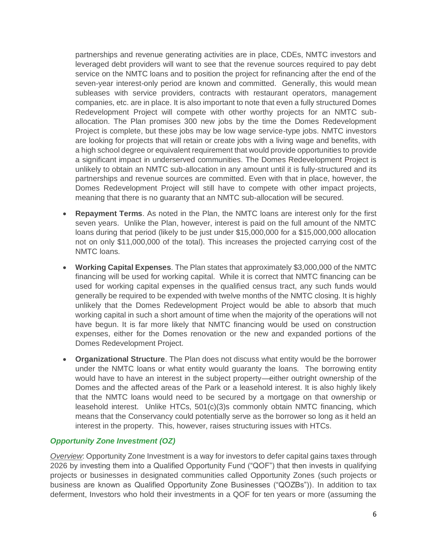partnerships and revenue generating activities are in place, CDEs, NMTC investors and leveraged debt providers will want to see that the revenue sources required to pay debt service on the NMTC loans and to position the project for refinancing after the end of the seven-year interest-only period are known and committed. Generally, this would mean subleases with service providers, contracts with restaurant operators, management companies, etc. are in place. It is also important to note that even a fully structured Domes Redevelopment Project will compete with other worthy projects for an NMTC suballocation. The Plan promises 300 new jobs by the time the Domes Redevelopment Project is complete, but these jobs may be low wage service-type jobs. NMTC investors are looking for projects that will retain or create jobs with a living wage and benefits, with a high school degree or equivalent requirement that would provide opportunities to provide a significant impact in underserved communities. The Domes Redevelopment Project is unlikely to obtain an NMTC sub-allocation in any amount until it is fully-structured and its partnerships and revenue sources are committed. Even with that in place, however, the Domes Redevelopment Project will still have to compete with other impact projects, meaning that there is no guaranty that an NMTC sub-allocation will be secured.

- **Repayment Terms**. As noted in the Plan, the NMTC loans are interest only for the first seven years. Unlike the Plan, however, interest is paid on the full amount of the NMTC loans during that period (likely to be just under \$15,000,000 for a \$15,000,000 allocation not on only \$11,000,000 of the total). This increases the projected carrying cost of the NMTC loans.
- **Working Capital Expenses**. The Plan states that approximately \$3,000,000 of the NMTC financing will be used for working capital. While it is correct that NMTC financing can be used for working capital expenses in the qualified census tract, any such funds would generally be required to be expended with twelve months of the NMTC closing. It is highly unlikely that the Domes Redevelopment Project would be able to absorb that much working capital in such a short amount of time when the majority of the operations will not have begun. It is far more likely that NMTC financing would be used on construction expenses, either for the Domes renovation or the new and expanded portions of the Domes Redevelopment Project.
- **Organizational Structure**. The Plan does not discuss what entity would be the borrower under the NMTC loans or what entity would guaranty the loans. The borrowing entity would have to have an interest in the subject property—either outright ownership of the Domes and the affected areas of the Park or a leasehold interest. It is also highly likely that the NMTC loans would need to be secured by a mortgage on that ownership or leasehold interest. Unlike HTCs, 501(c)(3)s commonly obtain NMTC financing, which means that the Conservancy could potentially serve as the borrower so long as it held an interest in the property. This, however, raises structuring issues with HTCs.

### *Opportunity Zone Investment (OZ)*

*Overview*: Opportunity Zone Investment is a way for investors to defer capital gains taxes through 2026 by investing them into a Qualified Opportunity Fund ("QOF") that then invests in qualifying projects or businesses in designated communities called Opportunity Zones (such projects or business are known as Qualified Opportunity Zone Businesses ("QOZBs")). In addition to tax deferment, Investors who hold their investments in a QOF for ten years or more (assuming the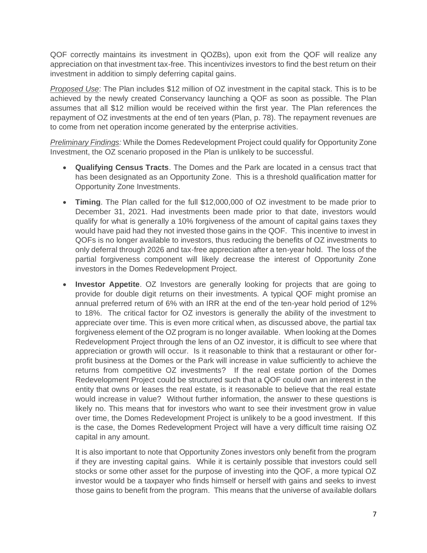QOF correctly maintains its investment in QOZBs), upon exit from the QOF will realize any appreciation on that investment tax-free. This incentivizes investors to find the best return on their investment in addition to simply deferring capital gains.

*Proposed Use*: The Plan includes \$12 million of OZ investment in the capital stack. This is to be achieved by the newly created Conservancy launching a QOF as soon as possible. The Plan assumes that all \$12 million would be received within the first year. The Plan references the repayment of OZ investments at the end of ten years (Plan, p. 78). The repayment revenues are to come from net operation income generated by the enterprise activities.

*Preliminary Findings:* While the Domes Redevelopment Project could qualify for Opportunity Zone Investment, the OZ scenario proposed in the Plan is unlikely to be successful.

- **Qualifying Census Tracts**. The Domes and the Park are located in a census tract that has been designated as an Opportunity Zone. This is a threshold qualification matter for Opportunity Zone Investments.
- **Timing**. The Plan called for the full \$12,000,000 of OZ investment to be made prior to December 31, 2021. Had investments been made prior to that date, investors would qualify for what is generally a 10% forgiveness of the amount of capital gains taxes they would have paid had they not invested those gains in the QOF. This incentive to invest in QOFs is no longer available to investors, thus reducing the benefits of OZ investments to only deferral through 2026 and tax-free appreciation after a ten-year hold. The loss of the partial forgiveness component will likely decrease the interest of Opportunity Zone investors in the Domes Redevelopment Project.
- **Investor Appetite**. OZ Investors are generally looking for projects that are going to provide for double digit returns on their investments. A typical QOF might promise an annual preferred return of 6% with an IRR at the end of the ten-year hold period of 12% to 18%. The critical factor for OZ investors is generally the ability of the investment to appreciate over time. This is even more critical when, as discussed above, the partial tax forgiveness element of the OZ program is no longer available. When looking at the Domes Redevelopment Project through the lens of an OZ investor, it is difficult to see where that appreciation or growth will occur. Is it reasonable to think that a restaurant or other forprofit business at the Domes or the Park will increase in value sufficiently to achieve the returns from competitive OZ investments? If the real estate portion of the Domes Redevelopment Project could be structured such that a QOF could own an interest in the entity that owns or leases the real estate, is it reasonable to believe that the real estate would increase in value? Without further information, the answer to these questions is likely no. This means that for investors who want to see their investment grow in value over time, the Domes Redevelopment Project is unlikely to be a good investment. If this is the case, the Domes Redevelopment Project will have a very difficult time raising OZ capital in any amount.

It is also important to note that Opportunity Zones investors only benefit from the program if they are investing capital gains. While it is certainly possible that investors could sell stocks or some other asset for the purpose of investing into the QOF, a more typical OZ investor would be a taxpayer who finds himself or herself with gains and seeks to invest those gains to benefit from the program. This means that the universe of available dollars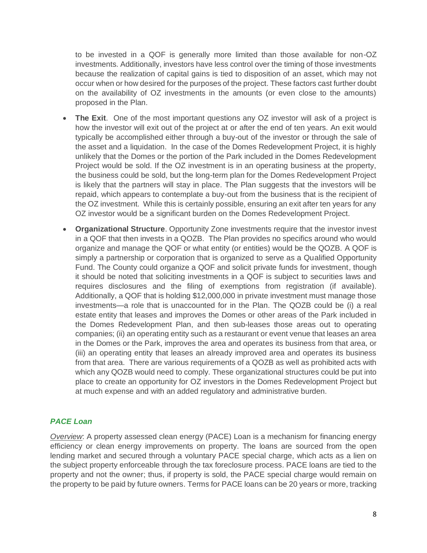to be invested in a QOF is generally more limited than those available for non-OZ investments. Additionally, investors have less control over the timing of those investments because the realization of capital gains is tied to disposition of an asset, which may not occur when or how desired for the purposes of the project. These factors cast further doubt on the availability of OZ investments in the amounts (or even close to the amounts) proposed in the Plan.

- **The Exit.** One of the most important questions any OZ investor will ask of a project is how the investor will exit out of the project at or after the end of ten years. An exit would typically be accomplished either through a buy-out of the investor or through the sale of the asset and a liquidation. In the case of the Domes Redevelopment Project, it is highly unlikely that the Domes or the portion of the Park included in the Domes Redevelopment Project would be sold. If the OZ investment is in an operating business at the property, the business could be sold, but the long-term plan for the Domes Redevelopment Project is likely that the partners will stay in place. The Plan suggests that the investors will be repaid, which appears to contemplate a buy-out from the business that is the recipient of the OZ investment. While this is certainly possible, ensuring an exit after ten years for any OZ investor would be a significant burden on the Domes Redevelopment Project.
- **Organizational Structure**. Opportunity Zone investments require that the investor invest in a QOF that then invests in a QOZB. The Plan provides no specifics around who would organize and manage the QOF or what entity (or entities) would be the QOZB. A QOF is simply a partnership or corporation that is organized to serve as a Qualified Opportunity Fund. The County could organize a QOF and solicit private funds for investment, though it should be noted that soliciting investments in a QOF is subject to securities laws and requires disclosures and the filing of exemptions from registration (if available). Additionally, a QOF that is holding \$12,000,000 in private investment must manage those investments—a role that is unaccounted for in the Plan. The QOZB could be (i) a real estate entity that leases and improves the Domes or other areas of the Park included in the Domes Redevelopment Plan, and then sub-leases those areas out to operating companies; (ii) an operating entity such as a restaurant or event venue that leases an area in the Domes or the Park, improves the area and operates its business from that area, or (iii) an operating entity that leases an already improved area and operates its business from that area. There are various requirements of a QOZB as well as prohibited acts with which any QOZB would need to comply. These organizational structures could be put into place to create an opportunity for OZ investors in the Domes Redevelopment Project but at much expense and with an added regulatory and administrative burden.

### *PACE Loan*

*Overview*: A property assessed clean energy (PACE) Loan is a mechanism for financing energy efficiency or clean energy improvements on property. The loans are sourced from the open lending market and secured through a voluntary PACE special charge, which acts as a lien on the subject property enforceable through the tax foreclosure process. PACE loans are tied to the property and not the owner; thus, if property is sold, the PACE special charge would remain on the property to be paid by future owners. Terms for PACE loans can be 20 years or more, tracking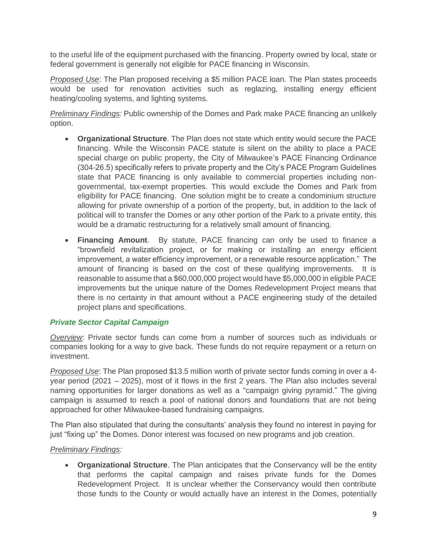to the useful life of the equipment purchased with the financing. Property owned by local, state or federal government is generally not eligible for PACE financing in Wisconsin.

*Proposed Use*: The Plan proposed receiving a \$5 million PACE loan. The Plan states proceeds would be used for renovation activities such as reglazing, installing energy efficient heating/cooling systems, and lighting systems.

*Preliminary Findings:* Public ownership of the Domes and Park make PACE financing an unlikely option.

- **Organizational Structure**. The Plan does not state which entity would secure the PACE financing. While the Wisconsin PACE statute is silent on the ability to place a PACE special charge on public property, the City of Milwaukee's PACE Financing Ordinance (304-26.5) specifically refers to private property and the City's PACE Program Guidelines state that PACE financing is only available to commercial properties including nongovernmental, tax-exempt properties. This would exclude the Domes and Park from eligibility for PACE financing. One solution might be to create a condominium structure allowing for private ownership of a portion of the property, but, in addition to the lack of political will to transfer the Domes or any other portion of the Park to a private entity, this would be a dramatic restructuring for a relatively small amount of financing.
- **Financing Amount**. By statute, PACE financing can only be used to finance a "brownfield revitalization project, or for making or installing an energy efficient improvement, a water efficiency improvement, or a renewable resource application." The amount of financing is based on the cost of these qualifying improvements. It is reasonable to assume that a \$60,000,000 project would have \$5,000,000 in eligible PACE improvements but the unique nature of the Domes Redevelopment Project means that there is no certainty in that amount without a PACE engineering study of the detailed project plans and specifications.

### *Private Sector Capital Campaign*

*Overview*: Private sector funds can come from a number of sources such as individuals or companies looking for a way to give back. These funds do not require repayment or a return on investment.

*Proposed Use*: The Plan proposed \$13.5 million worth of private sector funds coming in over a 4 year period (2021 – 2025), most of it flows in the first 2 years. The Plan also includes several naming opportunities for larger donations as well as a "campaign giving pyramid." The giving campaign is assumed to reach a pool of national donors and foundations that are not being approached for other Milwaukee-based fundraising campaigns.

The Plan also stipulated that during the consultants' analysis they found no interest in paying for just "fixing up" the Domes. Donor interest was focused on new programs and job creation.

### *Preliminary Findings:*

• **Organizational Structure**. The Plan anticipates that the Conservancy will be the entity that performs the capital campaign and raises private funds for the Domes Redevelopment Project. It is unclear whether the Conservancy would then contribute those funds to the County or would actually have an interest in the Domes, potentially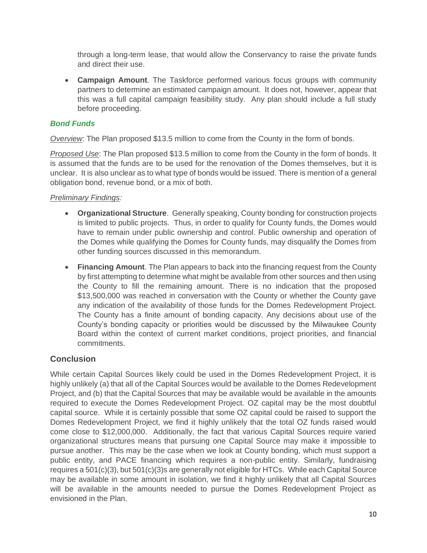through a long-term lease, that would allow the Conservancy to raise the private funds and direct their use.

• **Campaign Amount**. The Taskforce performed various focus groups with community partners to determine an estimated campaign amount. It does not, however, appear that this was a full capital campaign feasibility study. Any plan should include a full study before proceeding.

### *Bond Funds*

*Overview*: The Plan proposed \$13.5 million to come from the County in the form of bonds.

*Proposed Use*: The Plan proposed \$13.5 million to come from the County in the form of bonds. It is assumed that the funds are to be used for the renovation of the Domes themselves, but it is unclear. It is also unclear as to what type of bonds would be issued. There is mention of a general obligation bond, revenue bond, or a mix of both.

#### *Preliminary Findings:*

- **Organizational Structure**. Generally speaking, County bonding for construction projects is limited to public projects. Thus, in order to qualify for County funds, the Domes would have to remain under public ownership and control. Public ownership and operation of the Domes while qualifying the Domes for County funds, may disqualify the Domes from other funding sources discussed in this memorandum.
- **Financing Amount**. The Plan appears to back into the financing request from the County by first attempting to determine what might be available from other sources and then using the County to fill the remaining amount. There is no indication that the proposed \$13,500,000 was reached in conversation with the County or whether the County gave any indication of the availability of those funds for the Domes Redevelopment Project. The County has a finite amount of bonding capacity. Any decisions about use of the County's bonding capacity or priorities would be discussed by the Milwaukee County Board within the context of current market conditions, project priorities, and financial commitments.

### **Conclusion**

While certain Capital Sources likely could be used in the Domes Redevelopment Project, it is highly unlikely (a) that all of the Capital Sources would be available to the Domes Redevelopment Project, and (b) that the Capital Sources that may be available would be available in the amounts required to execute the Domes Redevelopment Project. OZ capital may be the most doubtful capital source. While it is certainly possible that some OZ capital could be raised to support the Domes Redevelopment Project, we find it highly unlikely that the total OZ funds raised would come close to \$12,000,000. Additionally, the fact that various Capital Sources require varied organizational structures means that pursuing one Capital Source may make it impossible to pursue another. This may be the case when we look at County bonding, which must support a public entity, and PACE financing which requires a non-public entity. Similarly, fundraising requires a 501(c)(3), but 501(c)(3)s are generally not eligible for HTCs. While each Capital Source may be available in some amount in isolation, we find it highly unlikely that all Capital Sources will be available in the amounts needed to pursue the Domes Redevelopment Project as envisioned in the Plan.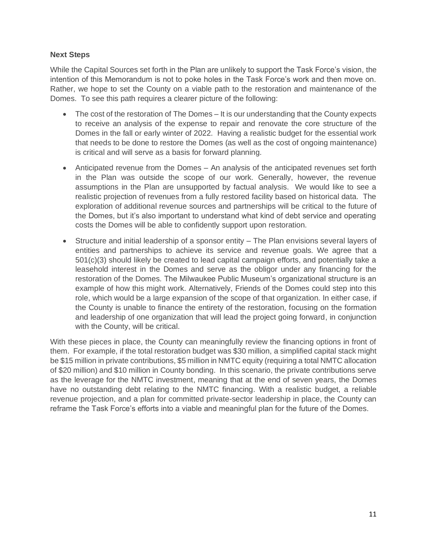#### **Next Steps**

While the Capital Sources set forth in the Plan are unlikely to support the Task Force's vision, the intention of this Memorandum is not to poke holes in the Task Force's work and then move on. Rather, we hope to set the County on a viable path to the restoration and maintenance of the Domes. To see this path requires a clearer picture of the following:

- The cost of the restoration of The Domes It is our understanding that the County expects to receive an analysis of the expense to repair and renovate the core structure of the Domes in the fall or early winter of 2022. Having a realistic budget for the essential work that needs to be done to restore the Domes (as well as the cost of ongoing maintenance) is critical and will serve as a basis for forward planning.
- Anticipated revenue from the Domes An analysis of the anticipated revenues set forth in the Plan was outside the scope of our work. Generally, however, the revenue assumptions in the Plan are unsupported by factual analysis. We would like to see a realistic projection of revenues from a fully restored facility based on historical data. The exploration of additional revenue sources and partnerships will be critical to the future of the Domes, but it's also important to understand what kind of debt service and operating costs the Domes will be able to confidently support upon restoration.
- Structure and initial leadership of a sponsor entity The Plan envisions several layers of entities and partnerships to achieve its service and revenue goals. We agree that a 501(c)(3) should likely be created to lead capital campaign efforts, and potentially take a leasehold interest in the Domes and serve as the obligor under any financing for the restoration of the Domes. The Milwaukee Public Museum's organizational structure is an example of how this might work. Alternatively, Friends of the Domes could step into this role, which would be a large expansion of the scope of that organization. In either case, if the County is unable to finance the entirety of the restoration, focusing on the formation and leadership of one organization that will lead the project going forward, in conjunction with the County, will be critical.

With these pieces in place, the County can meaningfully review the financing options in front of them. For example, if the total restoration budget was \$30 million, a simplified capital stack might be \$15 million in private contributions, \$5 million in NMTC equity (requiring a total NMTC allocation of \$20 million) and \$10 million in County bonding. In this scenario, the private contributions serve as the leverage for the NMTC investment, meaning that at the end of seven years, the Domes have no outstanding debt relating to the NMTC financing. With a realistic budget, a reliable revenue projection, and a plan for committed private-sector leadership in place, the County can reframe the Task Force's efforts into a viable and meaningful plan for the future of the Domes.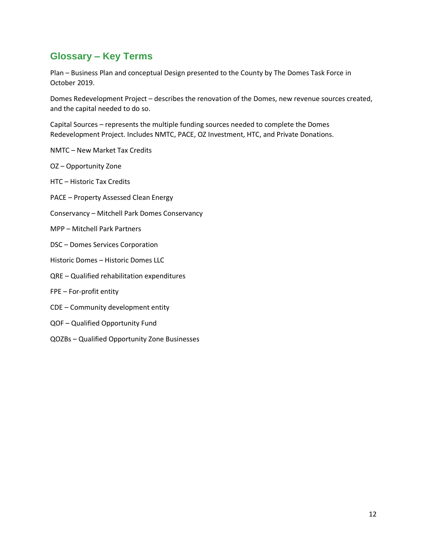# **Glossary – Key Terms**

Plan – Business Plan and conceptual Design presented to the County by The Domes Task Force in October 2019.

Domes Redevelopment Project – describes the renovation of the Domes, new revenue sources created, and the capital needed to do so.

Capital Sources – represents the multiple funding sources needed to complete the Domes Redevelopment Project. Includes NMTC, PACE, OZ Investment, HTC, and Private Donations.

- NMTC New Market Tax Credits
- OZ Opportunity Zone
- HTC Historic Tax Credits
- PACE Property Assessed Clean Energy
- Conservancy Mitchell Park Domes Conservancy
- MPP Mitchell Park Partners
- DSC Domes Services Corporation
- Historic Domes Historic Domes LLC
- QRE Qualified rehabilitation expenditures
- FPE For-profit entity
- CDE Community development entity
- QOF Qualified Opportunity Fund
- QOZBs Qualified Opportunity Zone Businesses